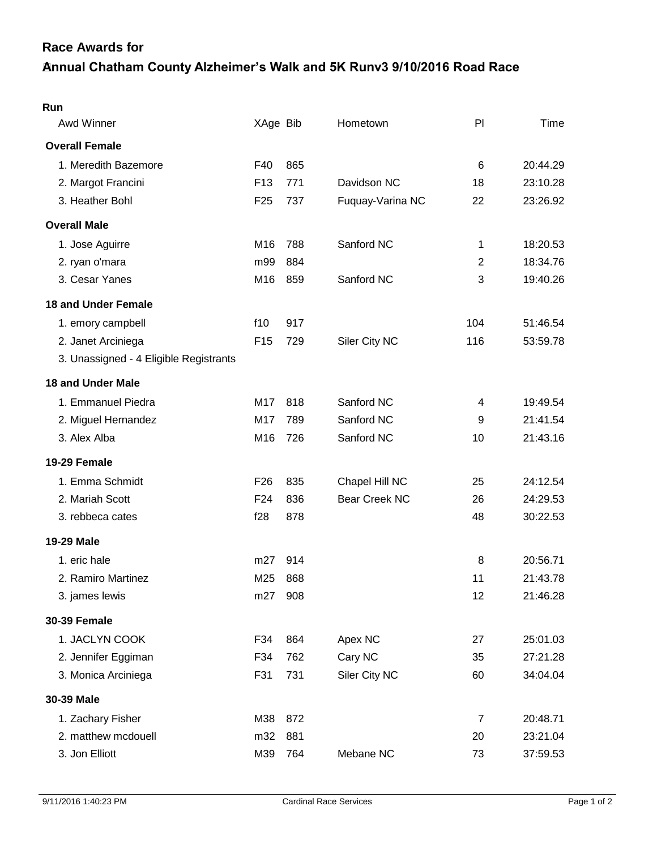## **Annual Chatham County Alzheimer's Walk and 5K Runv3 9/10/2016 Road Race Race Awards for**

| Run                                    |                 |     |                      |                |          |
|----------------------------------------|-----------------|-----|----------------------|----------------|----------|
| Awd Winner                             | XAge Bib        |     | Hometown             | PI             | Time     |
| <b>Overall Female</b>                  |                 |     |                      |                |          |
| 1. Meredith Bazemore                   | F40             | 865 |                      | 6              | 20:44.29 |
| 2. Margot Francini                     | F <sub>13</sub> | 771 | Davidson NC          | 18             | 23:10.28 |
| 3. Heather Bohl                        | F <sub>25</sub> | 737 | Fuquay-Varina NC     | 22             | 23:26.92 |
| <b>Overall Male</b>                    |                 |     |                      |                |          |
| 1. Jose Aguirre                        | M16             | 788 | Sanford NC           | 1              | 18:20.53 |
| 2. ryan o'mara                         | m99             | 884 |                      | $\overline{2}$ | 18:34.76 |
| 3. Cesar Yanes                         | M16             | 859 | Sanford NC           | 3              | 19:40.26 |
| <b>18 and Under Female</b>             |                 |     |                      |                |          |
| 1. emory campbell                      | f10             | 917 |                      | 104            | 51:46.54 |
| 2. Janet Arciniega                     | F <sub>15</sub> | 729 | Siler City NC        | 116            | 53:59.78 |
| 3. Unassigned - 4 Eligible Registrants |                 |     |                      |                |          |
| <b>18 and Under Male</b>               |                 |     |                      |                |          |
| 1. Emmanuel Piedra                     | M17             | 818 | Sanford NC           | 4              | 19:49.54 |
| 2. Miguel Hernandez                    | M17             | 789 | Sanford NC           | 9              | 21:41.54 |
| 3. Alex Alba                           | M16             | 726 | Sanford NC           | 10             | 21:43.16 |
| 19-29 Female                           |                 |     |                      |                |          |
| 1. Emma Schmidt                        | F <sub>26</sub> | 835 | Chapel Hill NC       | 25             | 24:12.54 |
| 2. Mariah Scott                        | F <sub>24</sub> | 836 | <b>Bear Creek NC</b> | 26             | 24:29.53 |
| 3. rebbeca cates                       | f28             | 878 |                      | 48             | 30:22.53 |
| 19-29 Male                             |                 |     |                      |                |          |
| 1. eric hale                           | m27             | 914 |                      | 8              | 20:56.71 |
| 2. Ramiro Martinez                     | M25             | 868 |                      | 11             | 21:43.78 |
| 3. james lewis                         | m27             | 908 |                      | 12             | 21:46.28 |
| <b>30-39 Female</b>                    |                 |     |                      |                |          |
| 1. JACLYN COOK                         | F34             | 864 | Apex NC              | 27             | 25:01.03 |
| 2. Jennifer Eggiman                    | F34             | 762 | Cary NC              | 35             | 27:21.28 |
| 3. Monica Arciniega                    | F31             | 731 | Siler City NC        | 60             | 34:04.04 |
| 30-39 Male                             |                 |     |                      |                |          |
| 1. Zachary Fisher                      | M38             | 872 |                      | $\overline{7}$ | 20:48.71 |
| 2. matthew mcdouell                    | m32             | 881 |                      | 20             | 23:21.04 |
| 3. Jon Elliott                         | M39             | 764 | Mebane NC            | 73             | 37:59.53 |